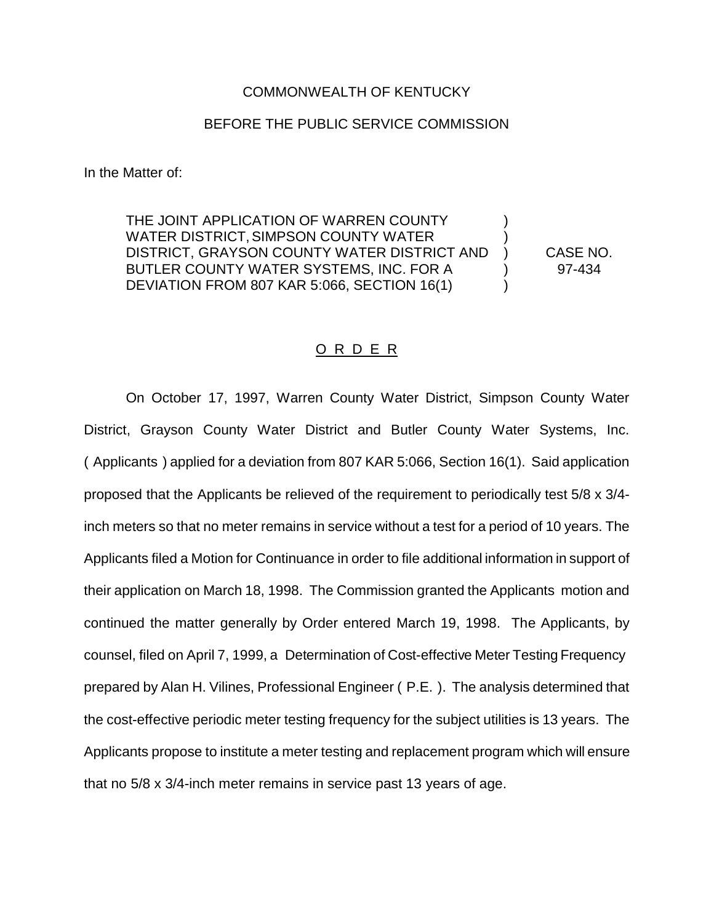## COMMONWEALTH OF KENTUCKY

## BEFORE THE PUBLIC SERVICE COMMISSION

In the Matter of:

THE JOINT APPLICATION OF WARREN COUNTY WATER DISTRICT, SIMPSON COUNTY WATER DISTRICT, GRAYSON COUNTY WATER DISTRICT AND ) CASE NO. BUTLER COUNTY WATER SYSTEMS, INC. FOR A (97-434) DEVIATION FROM 807 KAR 5:066, SECTION 16(1)

## O R D E R

On October 17, 1997, Warren County Water District, Simpson County Water District, Grayson County Water District and Butler County Water Systems, Inc. ( Applicants ) applied for a deviation from 807 KAR 5:066, Section 16(1). Said application proposed that the Applicants be relieved of the requirement to periodically test 5/8 x 3/4 inch meters so that no meter remains in service without a test for a period of 10 years. The Applicants filed a Motion for Continuance in order to file additional information in support of their application on March 18, 1998. The Commission granted the Applicants motion and continued the matter generally by Order entered March 19, 1998. The Applicants, by counsel, filed on April 7, 1999, a Determination of Cost-effective Meter Testing Frequency prepared by Alan H. Vilines, Professional Engineer ( P.E. ). The analysis determined that the cost-effective periodic meter testing frequency for the subject utilities is 13 years. The Applicants propose to institute a meter testing and replacement program which will ensure that no 5/8 x 3/4-inch meter remains in service past 13 years of age.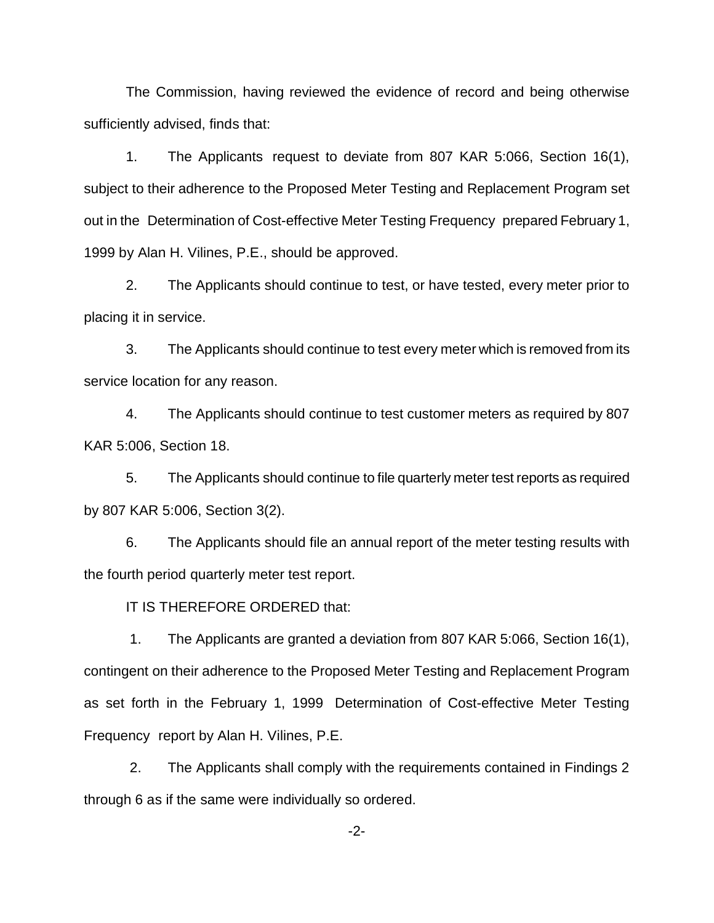The Commission, having reviewed the evidence of record and being otherwise sufficiently advised, finds that:

1. The Applicants request to deviate from 807 KAR 5:066, Section 16(1), subject to their adherence to the Proposed Meter Testing and Replacement Program set out in the Determination of Cost-effective Meter Testing Frequency prepared February 1, 1999 by Alan H. Vilines, P.E., should be approved.

2. The Applicants should continue to test, or have tested, every meter prior to placing it in service.

3. The Applicants should continue to test every meter which is removed from its service location for any reason.

4. The Applicants should continue to test customer meters as required by 807 KAR 5:006, Section 18.

5. The Applicants should continue to file quarterly meter test reports as required by 807 KAR 5:006, Section 3(2).

6. The Applicants should file an annual report of the meter testing results with the fourth period quarterly meter test report.

IT IS THEREFORE ORDERED that:

1. The Applicants are granted a deviation from 807 KAR 5:066, Section 16(1), contingent on their adherence to the Proposed Meter Testing and Replacement Program as set forth in the February 1, 1999 Determination of Cost-effective Meter Testing Frequency report by Alan H. Vilines, P.E.

2. The Applicants shall comply with the requirements contained in Findings 2 through 6 as if the same were individually so ordered.

-2-